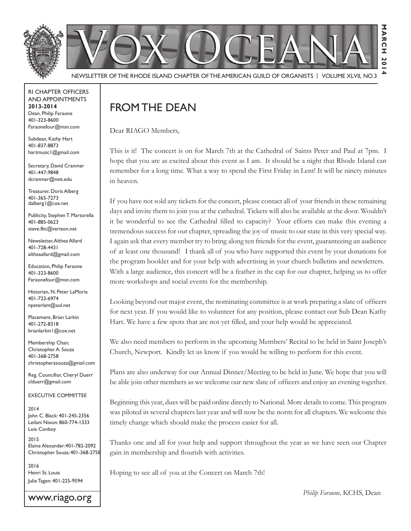



NEWSLETTER OF THE RHODE ISLAND CHAPTER OF THE AMERICAN GUILD OF ORGANISTS | VOLUME XLVII, NO.3

#### rI Chapter offICers aNd appoINtmeNts **2013-2014** Dean, Philip Faraone 401-323-8600 faraonefour@msn.com

Subdean, Kathy Hart 401-837-8873 hartmusic1@gmail.com

Secretary, David Cranmer 401-447-9848 dcranmer@neit.edu

Treasurer, Doris Alberg 401-365-7273 dalberg1@cox.net

Publicity, Stephen T. Martorella 401-885-0623 steve.fbc@verizon.net

Newsletter, Althea Allard 401-728-4431 altheaallard@gmail.com

**Education, Philip Faraone** 401-323-8600 faraonefour@msn.com

Historian, N. Peter LaMoria 401-723-6974 npeterlam@aol.net

Placement, Brian Larkin 401-272-8318 brianlarkin1@cox.net

Membership Chair, Christopher A. Souza 401-368-2758 christopherasouza@gmail.com

Reg. Councillor, Cheryl Duerr clduerr@gmail.com

eXeCutIVe CommIttee

2014 John C. Black: 401-245-2356 leilani Nixon: 860-774-1333 Lois Conboy

2015 Elaine Alexander: 401-782-2092 Christopher souza: 401-368-2758

2016 Henri St. Louis Julie Tagen: 401-225-9594

www.riago.org

# from the deaN

Dear RIAGO Members,

This is it! The concert is on for March 7th at the Cathedral of Saints Peter and Paul at 7pm. I hope that you are as excited about this event as I am. It should be a night that Rhode Island can remember for a long time. What a way to spend the First Friday in Lent! It will be ninety minutes in heaven.

If you have not sold any tickets for the concert, please contact all of your friends in these remaining days and invite them to join you at the cathedral. Tickets will also be available at the door. Wouldn't it be wonderful to see the Cathedral filled to capacity? Your efforts can make this evening a tremendous success for our chapter, spreading the joy of music to our state in this very special way. I again ask that every member try to bring along ten friends for the event, guaranteeing an audience of at least one thousand! I thank all of you who have supported this event by your donations for the program booklet and for your help with advertising in your church bulletins and newsletters. With a large audience, this concert will be a feather in the cap for our chapter, helping us to offer more workshops and social events for the membership.

Looking beyond our major event, the nominating committee is at work preparing a slate of officers for next year. If you would like to volunteer for any position, please contact our Sub Dean Kathy Hart. We have a few spots that are not yet filled, and your help would be appreciated.

We also need members to perform in the upcoming Members' Recital to be held in Saint Joseph's Church, Newport. Kindly let us know if you would be willing to perform for this event.

Plans are also underway for our Annual Dinner/Meeting to be held in June. We hope that you will be able join other members as we welcome our new slate of officers and enjoy an evening together.

Beginning this year, dues will be paid online directly to National. More details to come. This program was piloted in several chapters last year and will now be the norm for all chapters. We welcome this timely change which should make the process easier for all.

Thanks one and all for your help and support throughout the year as we have seen our Chapter gain in membership and flourish with activities.

Hoping to see all of you at the Concert on March 7th!

 *Philip Faraone,* KCHS, Dean

**March 2014**

**20** 4

**ARCH** 

Σ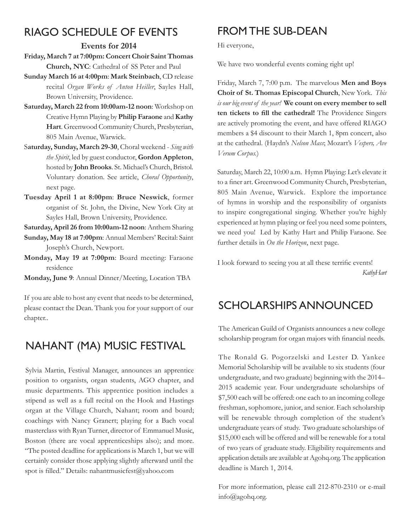# rIaGo sChedule of eVeNts

### **Events for 2014**

- **Friday, March 7 at 7:00pm: Concert Choir Saint Thomas Church, NYC**: Cathedral of SS Peter and Paul
- **Sunday March 16 at 4:00pm**: **Mark Steinbach**, CD release recital *Organ Works of Anton Heiller*, Sayles Hall, Brown University, Providence.
- **Saturday, March 22 from 10:00am-12 noon**: Workshop on Creative Hymn Playing by **Philip Faraone** and **Kathy Hart**. Greenwood Community Church, Presbyterian, 805 Main Avenue, Warwick.
- S**aturday, Sunday, March 29-30**, Choral weekend *Sing with the Spirit*, led by guest conductor, **Gordon Appleton**, hosted by **John Brooks**. St. Michael's Church, Bristol. Voluntary donation. See article, *Choral Opportunity*, next page.
- **Tuesday April 1 at 8:00pm**: **Bruce Neswick**, former organist of St. John, the Divine, New York City at Sayles Hall, Brown University, Providence.

**Saturday, April 26 from 10:00am-12 noon**: Anthem Sharing

- **Sunday, May 18 at 7:00pm**: Annual Members' Recital: Saint Joseph's Church, Newport.
- **Monday, May 19 at 7:00pm**: Board meeting: Faraone residence

**Monday, June 9**: Annual Dinner/Meeting, Location TBA

If you are able to host any event that needs to be determined, please contact the Dean. Thank you for your support of our chapter..

# NahaNt (ma) musIC festIVal

Sylvia Martin, Festival Manager, announces an apprentice position to organists, organ students, AGO chapter, and music departments. This apprentice position includes a stipend as well as a full recital on the Hook and Hastings organ at the Village Church, Nahant; room and board; coachings with Nancy Granert; playing for a Bach vocal masterclass with Ryan Turner, director of Emmanuel Music, Boston (there are vocal apprenticeships also); and more. "The posted deadline for applications is March 1, but we will certainly consider those applying slightly afterward until the spot is filled." Details: nahantmusicfest@yahoo.com

# FROM THE SUB-DEAN

Hi everyone,

We have two wonderful events coming right up!

Friday, March 7, 7:00 p.m. The marvelous **Men and Boys Choir of St. Thomas Episcopal Church**, New York. This *is our big event of the year!* **We count on every member to sell**  ten tickets to fill the cathedral! The Providence Singers are actively promoting the event, and have offered RIAGO members a \$4 discount to their March 1, 8pm concert, also at the cathedral. (Haydn's *Nelson Mass*; Mozart's *Vespers, Ave Verum Corpus.*)

Saturday, March 22, 10:00 a.m. Hymn Playing: Let's elevate it to a finer art. Greenwood Community Church, Presbyterian, 805 Main Avenue, Warwick. Explore the importance of hymns in worship and the responsibility of organists to inspire congregational singing. Whether you're highly experienced at hymn playing or feel you need some pointers, we need you! Led by Kathy Hart and Philip Faraone. See further details in *On the Horizon*, next page.

I look forward to seeing you at all these terrific events!  *Kathy Hart*

## sCholarshIps aNNouNCed

The American Guild of Organists announces a new college scholarship program for organ majors with financial needs.

The Ronald G. Pogorzelski and Lester D. Yankee Memorial Scholarship will be available to six students (four undergraduate, and two graduate) beginning with the 2014– 2015 academic year. Four undergraduate scholarships of \$7,500 each will be offered: one each to an incoming college freshman, sophomore, junior, and senior. Each scholarship will be renewable through completion of the student's undergraduate years of study. Two graduate scholarships of \$15,000 each will be offered and will be renewable for a total of two years of graduate study. Eligibility requirements and application details are available at Agohq.org. The application deadline is March 1, 2014.

For more information, please call 212-870-2310 or e-mail  $info(\hat{\omega})$ agohq.org.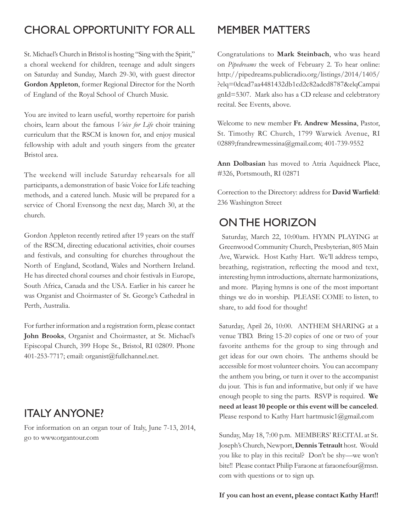# Choral opportuNIty for all

St. Michael's Church in Bristol is hosting "Sing with the Spirit," a choral weekend for children, teenage and adult singers on Saturday and Sunday, March 29-30, with guest director **Gordon Appleton**, former Regional Director for the North of England of the Royal School of Church Music.

You are invited to learn useful, worthy repertoire for parish choirs, learn about the famous *Voice for Life* choir training curriculum that the RSCM is known for, and enjoy musical fellowship with adult and youth singers from the greater Bristol area.

The weekend will include Saturday rehearsals for all participants, a demonstration of basic Voice for Life teaching methods, and a catered lunch. Music will be prepared for a service of Choral Evensong the next day, March 30, at the church.

Gordon Appleton recently retired after 19 years on the staff of the RSCM, directing educational activities, choir courses and festivals, and consulting for churches throughout the North of England, Scotland, Wales and Northern Ireland. He has directed choral courses and choir festivals in Europe, South Africa, Canada and the USA. Earlier in his career he was Organist and Choirmaster of St. George's Cathedral in Perth, Australia.

For further information and a registration form, please contact **John Brooks**, Organist and Choirmaster, at St. Michael's Episcopal Church, 399 Hope St., Bristol, RI 02809. Phone 401-253-7717; email: organist@fullchannel.net.

## Italy aNyoNe?

For information on an organ tour of Italy, June 7-13, 2014, go to www.organtour.com

## memBer matters

Congratulations to **Mark Steinbach**, who was heard on *Pipedreams* the week of February 2. To hear online: http://pipedreams.publicradio.org/listings/2014/1405/ ?elq=0dcad7aa4481432db1cd2c82adcd8787&elqCampai gnId=5307. Mark also has a CD release and celebtratory recital. See Events, above.

Welcome to new member **Fr. Andrew Messina**, Pastor, St. Timothy RC Church, 1799 Warwick Avenue, RI 02889;frandrewmessina@gmail.com; 401-739-9552

**Ann Dolbasian** has moved to Atria Aquidneck Place, #326, Portsmouth, RI 02871

Correction to the Directory: address for David Warfield: 236 Washington Street

## oN the horIzoN

Saturday, March 22, 10:00am. HYMN PLAYING at Greenwood Community Church, Presbyterian, 805 Main Ave, Warwick. Host Kathy Hart. We'll address tempo, breathing, registration, reflecting the mood and text, interesting hymn introductions, alternate harmonizations, and more. Playing hymns is one of the most important things we do in worship. PLEASE COME to listen, to share, to add food for thought!

Saturday, April 26, 10:00. ANTHEM SHARING at a venue TBD. Bring 15-20 copies of one or two of your favorite anthems for the group to sing through and get ideas for our own choirs. The anthems should be accessible for most volunteer choirs. You can accompany the anthem you bring, or turn it over to the accompanist du jour. This is fun and informative, but only if we have enough people to sing the parts. RSVP is required. **We need at least 10 people or this event will be canceled**. Please respond to Kathy Hart hartmusic1@gmail.com

Sunday, May 18, 7:00 p.m. MEMBERS' RECITAL at St. Joseph's Church, Newport, **Dennis Tetrault** host. Would you like to play in this recital? Don't be shy—we won't bite!! Please contact Philip Faraone at faraonefour@msn. com with questions or to sign up.

#### If you can host an event, please contact Kathy Hart!!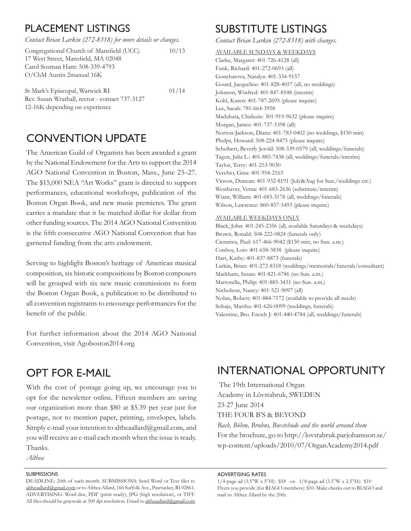## plaCemeNt lIstINGs

*Contact Brian Larkin (272-8318) for more details or changes.*

| Congregational Church of Mansfield (UCC) | 10/13 |
|------------------------------------------|-------|
| 17 West Street, Mansfield, MA 02048      |       |
| Carol Sosman Ham: 508-339-4793           |       |
| O/ChM Austin 2manual 16K                 |       |
|                                          |       |

St Mark's Episcopal, Warwick RI 01/14 Rev. Susan Wrathall, rector - contact 737-3127 12-16K depending on experience

# CONVENTION UPDATE

The American Guild of Organists has been awarded a grant by the National Endowment for the Arts to support the 2014 AGO National Convention in Boston, Mass., June 23–27. The \$15,000 NEA "Art Works" grant is directed to support performances, educational workshops, publication of the Boston Organ Book, and new music premieres. The grant carries a mandate that it be matched dollar for dollar from other funding sources. The 2014 AGO National Convention is the fifth consecutive AGO National Convention that has garnered funding from the arts endowment.

Serving to highlight Boston's heritage of American musical composition, six historic compositions by Boston composers will be grouped with six new music commissions to form the Boston Organ Book, a publication to be distributed to all convention registrants to encourage performances for the benefit of the public.

For further information about the 2014 AGO National Convention, visit Agoboston2014.org.

# opt for e-maIl

With the cost of postage going up, we encourage you to opt for the newsletter online. Fifteen members are saving our organization more than \$80 at \$5.39 per year just for postage, not to mention paper, printing, envelopes, labels. Simply e-mail your intention to altheaallard@gmail.com, and you will receive an e-mail each month when the issue is ready. Thanks.

*Althea*

#### **SUBMISSIONS**

DEADLINE: 20th of each month. SUBMISSIONS: Send Word or Text files to altheaallard@gmail.com or to Althea Allard, 166 Suffolk Ave., Pawtucket, RI 02861. ADVERTISING: Word doc, PDF (print ready), JPG (high resolution), or TIFF. All files should be grayscale at 300 dpi resolution. Email to altheaallard@gmail.com

## suBstItute lIstINGs

*Contact Brian Larkin (272-8318) with changes.*

AVAILABLE SUNDAYS & WEEKDAYS Clarke, Margaret: 401-726-4128 (all) Funk, Richard: 401-272-0693 (all) Goncharova, Natalya: 401-334-9157 Gourd, Jacqueline: 401-828-4057 (all, no weddings) Johnson, Winfred: 401-847-8548 (interim) Kohl, Karen: 401-787-2695 (please inquire) Lee, Saeah: 781-664-3958 Madubata, Chiduzie: 301-919-9632 (please inquire) Morgan, James: 401-737-5398 (all) Norton-Jackson, Diana: 401-783-0402 (no weddings, \$150 min) Phelps, Howard: 508-224-8475 (please inquire) Scheibert, Beverly Jerold: 508-339-0579 (all, weddings/funerals) Tagen, Julia L.: 401-885-7438 (all, weddings/funerals/interim) Taylor, Terry: 401-253-9030 Vecchio, Gina: 401-954-2163 Vinson, Duncan: 401-932-8191 (July&Aug for Sun./weddings etc.) Westhaver, Verna: 401-683-2636 (substitute/interim) Wiant, William: 401-683-3178 (all, weddings/funerals) Wilson, Lawrence: 860-857-5493 (please inquire)

#### AVAILABLE WEEKDAYS ONLY

Black, John: 401-245-2356 (all, available Saturdays & weekdays) Brown, Ronald: 508-222-0824 (funerals only) Cienniwa, Paul: 617-466-9042 (\$150 min, no Sun. a.m.) Conboy, Lois: 401-658-3838 (please inquire) Hart, Kathy: 401-837-8873 (funerals) Larkin, Brian: 401-272-8318 (weddings/memorials/funerals/consultant) Markham, Susan: 401-821-6786 (no Sun. a.m.) Martorella, Philip: 401-885-3431 (no Sun. a.m.) Nicholson, Nancy: 401-521-9097 (all) Nolan, Robert: 401-884-7172 (available to provide all needs) Sobaje, Martha: 401-626-0099 (weddings, funerals) Valentine, Bro. Enoch J: 401-440-4784 (all, weddings/funerals)

## INterNatIoNal opportuNIty

 The 19th International Organ Academy in Lövstabruk, SWEDEN 23-27 June 2014 THE FOUR B'S & BEYOND *Bach, Böhm, Bruhns, Buxtehude and the world around them* For the brochure, go to http://lovstabruk.parjohansson.se/ wp-content/uploads/2010/07/OrganAcademy2014.pdf

#### adVertIsING rates

 $1/4$ -page ad (3.5"W x 5"H): \$18 -or-  $1/8$ -page ad (3.5"W x 2.5"H): \$10 Flyers you provide (for RIAGO members): \$10. Make checks out to RIAGO and mail to Althea Allard by the 20th.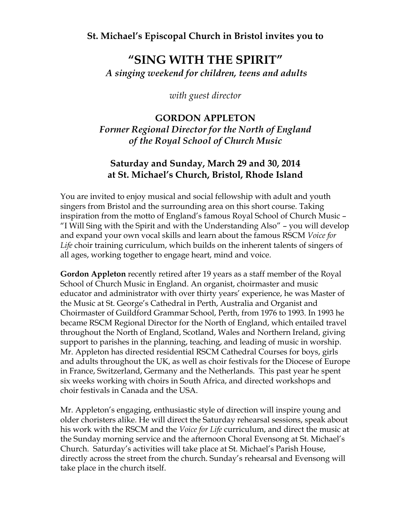### **St. Michael's Episcopal Church in Bristol invites you to**

## **"SING WITH THE SPIRIT"** *A singing weekend for children, teens and adults*

*with guest director*

### **GORDON APPLETON**

*Former Regional Director for the North of England of the Royal School of Church Music*

### **Saturday and Sunday, March 29 and 30, 2014 at St. Michael's Church, Bristol, Rhode Island**

You are invited to enjoy musical and social fellowship with adult and youth singers from Bristol and the surrounding area on this short course. Taking inspiration from the motto of England's famous Royal School of Church Music – "I Will Sing with the Spirit and with the Understanding Also" – you will develop and expand your own vocal skills and learn about the famous RSCM *Voice for Life* choir training curriculum, which builds on the inherent talents of singers of all ages, working together to engage heart, mind and voice.

**Gordon Appleton** recently retired after 19 years as a staff member of the Royal School of Church Music in England. An organist, choirmaster and music educator and administrator with over thirty years' experience, he was Master of the Music at St. George's Cathedral in Perth, Australia and Organist and Choirmaster of Guildford Grammar School, Perth, from 1976 to 1993. In 1993 he became RSCM Regional Director for the North of England, which entailed travel throughout the North of England, Scotland, Wales and Northern Ireland, giving support to parishes in the planning, teaching, and leading of music in worship. Mr. Appleton has directed residential RSCM Cathedral Courses for boys, girls and adults throughout the UK, as well as choir festivals for the Diocese of Europe in France, Switzerland, Germany and the Netherlands. This past year he spent six weeks working with choirs in South Africa, and directed workshops and choir festivals in Canada and the USA.

Mr. Appleton's engaging, enthusiastic style of direction will inspire young and older choristers alike. He will direct the Saturday rehearsal sessions, speak about his work with the RSCM and the *Voice for Life* curriculum, and direct the music at the Sunday morning service and the afternoon Choral Evensong at St. Michael's Church. Saturday's activities will take place at St. Michael's Parish House, directly across the street from the church. Sunday's rehearsal and Evensong will take place in the church itself.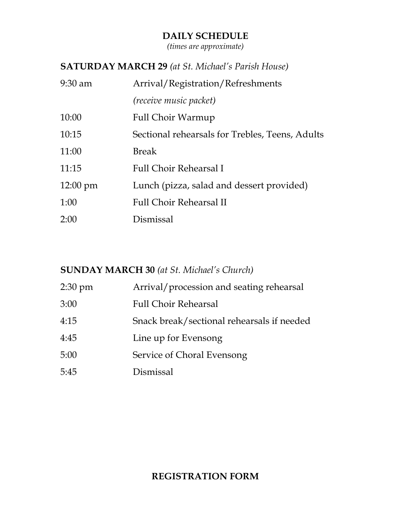### **DAILY SCHEDULE**

*(times are approximate)*

### **SATURDAY MARCH 29** *(at St. Michael's Parish House)*

| $9:30$ am          | Arrival/Registration/Refreshments               |  |  |
|--------------------|-------------------------------------------------|--|--|
|                    | <i>(receive music packet)</i>                   |  |  |
| 10:00              | Full Choir Warmup                               |  |  |
| 10:15              | Sectional rehearsals for Trebles, Teens, Adults |  |  |
| 11:00              | <b>Break</b>                                    |  |  |
| 11:15              | <b>Full Choir Rehearsal I</b>                   |  |  |
| $12:00 \text{ pm}$ | Lunch (pizza, salad and dessert provided)       |  |  |
| 1:00               | <b>Full Choir Rehearsal II</b>                  |  |  |
| 2:00               | Dismissal                                       |  |  |

### **SUNDAY MARCH 30** *(at St. Michael's Church)*

| $2:30 \text{ pm}$ | Arrival/procession and seating rehearsal   |  |  |
|-------------------|--------------------------------------------|--|--|
| 3:00              | <b>Full Choir Rehearsal</b>                |  |  |
| 4:15              | Snack break/sectional rehearsals if needed |  |  |
| 4:45              | Line up for Evensong                       |  |  |
| 5:00              | Service of Choral Evensong                 |  |  |
| 5:45              | Dismissal                                  |  |  |

### **REGISTRATION FORM**